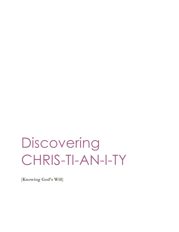# **Discovering** CHRIS-TI-AN-I-TY

[**Knowing God's Will**]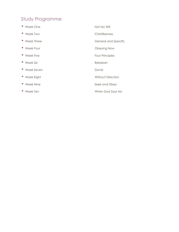## Study Programme

- 
- 
- 
- 
- 
- 
- Week Seven **David**
- 
- 
- 
- Week One Not My Will • Week Two Christlikeness • Week Three General and Specific • Week Four **Contact Contact Contact Contact Contact Contact Contact Contact Contact Contact Contact Contact Contact Contact Contact Contact Contact Contact Contact Contact Contact Contact Contact Contact Contact Contact C** • Week Five **Four Principles** • Week Six Rebekah • Week Eight Without Direction • Week Nine Seek and Obey • Week Ten When God Says No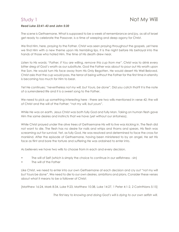#### *Read Luke 22:41-43 and John 5:30*

The scene is Gethsemane. What is supposed to be a week of remembrance and joy, as all of Israel get ready to celebrate the Passover, is a time of weeping and deep agony for Christ.

We find Him, here, praying to the Father. Christ was seen praying throughout the gospels, yet here we find Him with a new theme upon His trembling lips. It is the night before His betrayal into the hands of those who hated Him. The time of His death drew near.

Listen to His words; *"Father, if You are willing, remove this cup from me"*. Christ was to drink every bitter dreg of God's wrath as our substitute. God the Father was about to pour out His wrath upon the Son. He would turn His face away from His Only Begotten. He would desert His Well Beloved. Christ asks that the cup would pass, the terror of being without the Father for the first time in eternity is becoming too much for Him to bear.

Yet He continues; *"nevertheless not my will, but Yours, be done".* Did you catch that? It is the note of a surrendered life and it is a sweet song to the Father.

We need to pick up something interesting here - there are two wills mentioned in verse 42; the will of Christ and the will of the Father; *"*not *my* will, but *yours*".

While He was on earth, Jesus Christ was both fully God and fully Man. Taking on human flesh gave Him the same desires and instincts that we have (yet without our sinfulness).

While Christ prayed under the olive trees of Gethsemane His will to live was kicking in. The flesh did not want to die. The flesh has no desire for nails and whips and thorns and spears. His flesh was screaming out for survival. Yet, as fully God, He was resolved and determined to face the cross for mankind. After the episode of Gethsemane, having been ministered to by an angel, He set His face as flint and bore the torture and suffering He was ordained to enter into.

As believers we have two wills to choose from in each and every decision.

- The will of Self (which is simply the choice to continue in our selfishness sin)
- The will of the Father

Like Christ, we need to enter into our own Gethsemane at each decision and cry out "not my will but Yours be done". We need to die to our own desires, ambitions and plans. Consider these verses about what it means to be a follower of Christ;

[Matthew 16:24, Mark 8:34, Luke 9:23, Matthew 10:38, Luke 14:27, 1 Peter 4:1-2, 2 Corinthians 5:15]

*The first key to knowing and doing God's will is dying to our own selfish will.*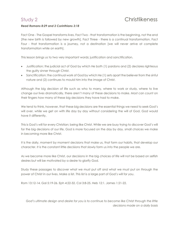#### *Read Romans 8:29 and 2 Corinthians 3:18*

Fact One - The Gospel transforms lives. Fact Two - that transformation is the beginning, not the end [the new birth is followed by new growth]. Fact Three - there is a continual transformation. Fact Four - that transformation is a journey, not a destination [we will never arrive at complete transformation while on earth].

This lesson brings us to two very important words; justification and sanctification.

- Justification; the judicial act of God by which He both (1) pardons and (2) declares righteous the guilty sinner through Christ.
- Sanctification: the continual work of God by which He (1) sets apart the believer from the sinful nature and (2) continues to mould him into the image of Christ.

Although the big decision of life such as who to marry, where to work or study, where to live change our lives dramatically, there aren't many of these decisions to make. Most can count on their fingers how many of these big decisions they have had to make.

We tend to think, however, that these big decisions are the essential things we need to seek God's will over, while we get on with life day by day without considering the will of God. God would have it differently.

This is God's will for every Christian; being like Christ. While we are busy trying to discover God's will for the big decisions of our life, God is more focused on the day by day, small choices we make in becoming more like Christ.

It is the daily, moment by moment decisions that make us, that form our habits, that develop our character. It is the constant little decisions that slowly form us into the people we are.

As we become more like Christ, our decisions in the big choices of life will not be based on selfish desires but will be motivated by a desire to glorify God.

Study these passages to discover what we must put off and what we must put on through the power of Christ in our lives. Make a list. This list is a large part of God's will for you.

Rom 13:12-14. Gal 5:19-26. Eph 4:22-32. Col 3:8-25. Heb 12:1. James 1:21-22.

*God's ultimate design and desire for you is to continue to become like Christ through the little decisions made on a daily basis*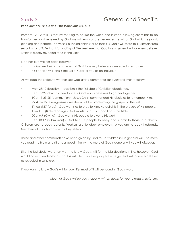# Study 3 General and Specific

#### *Read Romans 12:1-2 and 1Thessalonians 4:3, 5:18*

Romans 12:1-2 tells us that by refusing to be like the world and instead allowing our minds to be transformed and renewed by God we will learn and experience the will of God which is good, pleasing and perfect. The verses in Thessalonians tell us that it is God's will for us to 1. Abstain from sexual sin and 2. Be thankful and joyful. We see here that God has a general will for every believer which is clearly revealed to us in the Bible.

God has two wills for each believer:

- His General Will this is the will of God for every believer as revealed in scripture
- His Specific Will this is the will of God for you as an individual

As we read the scripture we can see God giving commands for every believer to follow;

- Matt 28:19 (baptism) baptism is the first step of Christian obedience.
- Heb 10:25 (church attendance) God wants believers to gather together.
- 1Cor 11:23-25 (communion) Jesus Christ commanded His disciples to remember Him.
- Mark 16:15 (evangelism) we should all be proclaiming the gospel to the lost.
- 1Thess 5:17 (pray) God wants us to pray to Him. He delights in the prayers of His people.
- 1Tim 4:13 (Bible reading) God wants us to study and know the Bible.
- 2Cor 9:7 (Giving) God wants His people to give to His work.

• Heb 13:17 (submission) - God tells His people to obey and submit to those in authority. Children are to obey parents. Workers are to obey employers. Wives are to obey husbands. Members of the church are to obey elders.

These and other commands have been given by God to His children in His general will. The more you read the Bible and sit under good ministry, the more of God's general will you will discover.

Like the last study, we often want to know God's will for the big decisions in life, however, God would have us understand what His will is for us in every day life – His general will for each believer as revealed in scripture.

If you want to know God's will for your life, most of it will be found in God's word.

*Much of God's will for you is clearly written down for you to read in scripture.*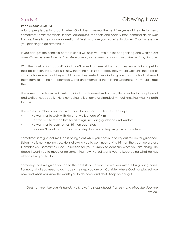### *Read Exodus 40:34-38*

# Study 4 **Obeying Now**

A lot of people begin to panic when God doesn't reveal the next five years of their life to them. Sometimes family members, friends, colleagues, teachers and society itself demand an answer from us. There is the continual question of "well what are you planning to do next?" or "where are you planning to go after this?"

If you can get the principle of this lesson it will help you avoid a lot of agonizing and worry; *God doesn't always reveal the next ten steps ahead; sometimes He only shows us the next step to take.*

With the Israelites in Exodus 40, God didn't reveal to them all the steps they would take to get to their destination. He would just show them the next step ahead. They would wait until the pillar of cloud or fire moved and they would move. They trusted their God to guide them. He had delivered them from Egypt, He had provided water and manna for them in the wilderness - He would direct them.

The same is true for us as Christians; God has delivered us from sin, He provides for our physical and spiritual needs daily - He is not going to just leave us stranded without knowing what His path for us is.

There are a number of reasons why God doesn't show us the next ten steps:

- He wants us to walk with Him, not walk ahead of Him
- He wants us to rely on Him for all things, including guidance and wisdom
- He wants us to learn to trust Him on each step
- He doesn't want us to skip or miss a step that would help us grow and mature

Sometimes it might feel like God is being silent while you continue to cry out to Him for guidance. Listen - He is not ignoring you. He is allowing you to continue serving Him on the step you are on. Consider v37; sometimes God's direction for you is simply to continue what you are doing. He doesn't want you to move or do something new; He just wants you to keep doing what He has already told you to do.

Someday God will guide you on to the next step. He won't leave you without His guiding hand. For now, what you need to do is obey the step you are on. Consider where God has placed you now and what you know He wants you to do now - and do it. Keep on doing it.

*God has your future in His hands; He knows the steps ahead. Trust Him and obey the step you are on.*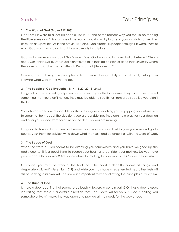### **1. The Word of God [Psalm 119:105]**

God uses His word to direct His people. This is just one of the reasons why you should be reading the Bible every day. This is just one of the reasons you should try to attend your local church services as much as is possible. As in the previous studies, God directs His people through His word. Most of what God wants you to do is told to you already in scripture.

God's will can never contradict God's word. Does God want you to marry that unbeliever? Clearly not [2 Corinthians 6:14]. Does God want you to take that job position or go to that university where there are no solid churches to attend? Perhaps not [Hebrews 10:25].

Obeying and following the principles of God's word through daily study will really help you in knowing what God wants you to do.

#### **2. The People of God [Proverbs 11:14, 15:22, 20:18, 24:6]**

It is good and wise to ask godly men and women in your life for counsel. They may have noticed something that you didn't notice. They may be able to see things from a perspective you didn't think of.

Your church elders are responsible for shepherding you, teaching you, equipping you. Make sure to speak to them about the decisions you are considering. They can help pray for your decision and offer you advice from scripture on the decision you are making.

It is good to have a list of men and women you know you can trust to give you wise and godly counsel, ask them for advice, write down what they say, and balance it all with the word of God.

#### **3. The Peace of God**

When the word of God seems to be directing you somewhere and you have weighed up the godly counsel it is a good thing to search your heart and consider your motives; Do you have peace about this decision? Are your motives for making this decision pure? Or are they selfish?

Of course, you must be wary of the fact that "the heart is deceitful above all things, and desperately wicked" (Jeremiah 17:9) and while you may have a regenerated heart, the flesh will still be seeking in its own will. This is why it is important to keep following the principles of study 1-4.

#### **4. The Hand of God**

Is there a door opening that seems to be leading toward a certain path? Or, has a door closed, indicating that there is a certain direction that isn't God's will for you? If God is calling you somewhere, He will make the way open and provide all the needs for the way ahead.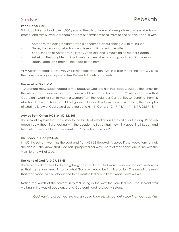# Study 6 **Rebekah**

#### *Read Genesis 24*

This study takes us back over 4,000 years to the city of Haran of Mesopotamia where Abraham's brother and family lived. Abraham has sent his servant over 700miles to find his son, Isaac, a wife.

- Abraham, the aging patriarch who is concerned about finding a wife for his son
- Eliezer, the servant of Abraham who is sent to find a suitable wife
- Isaac, the son of Abraham, he is forty years old, and is mourning his mother's death
- Rebekah, the daughter of Abraham's nephew, she is a young and beautiful woman
- Laban, Rebekah's brother, the head of the home

v1-9 Abraham sends Eliezer. v10-27 Eliezer meets Rebekah. v28-48 Eliezer meets the family. v49-60 the marriage is agreed upon. v61-67 Rebekah travels and meets Isaac.

#### **The Word of God [v1-9]**

1. Abraham knew Isaac needed a wife because God told him that Isaac would be the funnel for the Abrahamic covenant and that there would be many descendants. 2. Abraham knew that God didn't want his son to marry a woman from the idolatrous Canaanites surrounding them. 3. Abraham knew that Isaac should not go live in Haran. Abraham, then, was obeying the principles of what he knew of God's word as revealed to Him in Genesis 12:1-7, 13:14-17, 15, 17, 22:17-18.

#### **Advice from Others [v28-34, 50-52, 60]**

The servant explains the whole story to the family of Rebekah and they all offer their say. Rebekah doesn't go without first checking with the people she trusts what they think about it all. Laban and Bethuel answer that this whole event has "come from the Lord".

#### **The Peace of God [v54-58]**

In v52 the servant worships the Lord and from v54-58 Rebekah is asked if she would tarry or not; she doesn't, she knows that God has "prospered her way". Both of their hearts are in line with the worship and will of God.

#### **The Hand of God [v10-27, 35-49]**

The servant asked God to do a big thing; he asked that God would work out the circumstances so that the servant knew instantly what God's will would be in this situation. The amazing events that took place, plus his obedience to his master, led him to know what God's will was.

Notice the words of the servant in v27; 'I being in the way the Lord led me'. The servant was walking in the way of obedience and God continued to direct His steps.

*God wants to direct you, He wants you to know His will, patiently seek it as you seek Him.*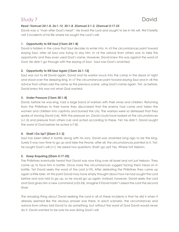# Study 7 David David David David

### *Read 1Samuel 24:1-8, 26:1-12, 30:1-8, 2Samuel 2:1-2, 2Samuel 5:17-25*

David was a "man after God's heart". He loved the Lord and sought to be in His will. We'll briefly visit 5 incidents of his life where he sought the Lord's will.

### **1. Opportunity to Kill Saul [1Sam 24:1-8]**

David is hidden in the cave that Saul decides to enter into. In v3 the circumstances point toward slaying Saul, after all Saul was trying to slay him. In v4 the advice from others was to take this opportunity and they even used God's name. However, David knew this was against the word of God. He didn't go through with the slaying of Saul - Saul was God's anointed.

### **2. Opportunity to Kill Saul Again [1Sam 26:1-12]**

Saul was out to kill David again. David and his warrior snuck into the camp in the dead of night and stood over the sleeping king. In v7 the circumstances point toward slaying Saul and in v8 the advice from others said the same as the previous scene, using God's name again. Yet, as before, David knew this was not what God wanted.

### **3. Under Pressure [1Sam 30:1-8]**

David, before he was king, had a large band of warriors with their wives and children. Returning from the Philistines to their home they discovered that the enemy had come and taken the women and children into captivity and burned the city. The warriors were so distressed that they spoke of stoning David (v6). With the pressure on, David could have looked at the circumstances (v1-5) and pressure from others (v6) and acted according to these. Yet, he didn't. David sought the word of God before he acted (v7-8).

### **4. Shall I Go Up? [2Sam 2:1-2]**

Saul has been killed in battle along with his sons. David was anointed long ago to be the king. Surely it was now time to go up and take the throne, after all, the circumstances pointed to it. Yet, he sought God's will (v1). He asked two questions; Shall I go up? Yes. Where to? Hebron.

### **5. Keep Enquiring [2Sam 5:17-25]**

The Philistines eventually heard that David was now King over all Israel and not just Hebron. They come up to face him in battle. Once more the circumstances suggest facing them head on in battle. Yet David seeks the word of the Lord (v19). After defeating the Philistines they came up again a little later. At this point David may have simply thought about how he had sought the Lord before and was told to go up, so he would go up again. Instead, however, David seeks the Lord and God gives him a new command (v23-24). Imagine if David hadn't asked the Lord the second time!

The amazing thing about David seeking the Lord in all of these incidents is that he did it when it already seemed like the obvious answer was there. In each scenario, the circumstances and advice from others told David to do something, but without the word of God David would never do it. David wanted to be sure he was doing God's will.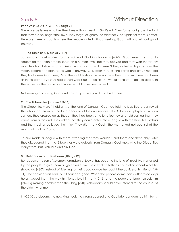# Study 8 Without Direction

### *Read Joshua 7:1-7, 9:1-16, 1Kings 12*

There are believers who live their lives without seeking God's will. They forget or ignore the fact that they are no longer their own. They forget or ignore the fact that God's plan for them is better. Here are three accounts where the people acted without seeking God's will and without good counsel.

#### **1. The Town of Ai [Joshua 7:1-7]**

Joshua and Israel waited for the voice of God in chapter 6 (6:2-5). God asked them to do something that didn't make sense on a human level, but they obeyed and they won the victory over Jericho. Notice what is missing in chapter 7:1-7. In verse 3 they acted with pride from the victory before and didn't seek God in anyway. Only after they lost the battle and lost 36 men did they finally seek God (v6-7). God then told Joshua the reason why they lost to Ai; there had been sin in the camp. If Joshua had sought God's guidance first, he would have been able to deal with the sin before the battle and 36 lives would have been saved.

Not seeking and doing God's will doesn't just hurt you, it can hurt others.

### **2. The Gibeonites [Joshua 9:3-16]**

The Gibeonites were inhabitants of the land of Canaan. God had told the Israelites to destroy all the inhabitants from off the land because of their wickedness. The Gibeonites played a trick on Joshua. They dressed up as though they had been on a long journey and told Joshua that they came from a far land. They asked that they could enter into a league with the Israelites. Joshua and the Israelites believed their trick. They didn't ask God; "the men asked not counsel at the mouth of the Lord" [v14]

Joshua made a league with them, swearing that they wouldn't hurt them and three days later they discovered that the Gibeonites were actually from Canaan. God knew who the Gibeonites really were, but Joshua didn't ask God.

### **3. Rehoboam and Jereboam [1Kings 12]**

Rehoboam, the son of Solomon, grandson of David, has become the king of Israel. He was asked by the people to give them a lighter yoke [v4]. He asked his father's counsellors about what he should do [v6-7]. Instead of listening to their good advice he sought the advice of his friends [v8- 11]. Their advice was bad, but it sounded good. When the people came back after three days he answered them the way his friends told him to [v12-15] and the people of Israel forsook him [v16-19] making another man their king [v20]. Rehoboam should have listened to the counsel of the older, wiser men.

In v25-30 Jeroboam, the new king, took the wrong counsel and God later condemned him for it.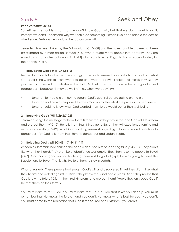# Study 9 Study 9 Seek and Obey

#### *Read Jeremiah 42-44*

Sometimes the trouble is not that we don't know God's will, but that we don't want to do it. Perhaps we don't understand why we should do something. Perhaps we can't handle the cost of obedience. Perhaps we would rather do our own will.

Jerusalem has been taken by the Babylonians [Ch34-38] and the governor of Jerusalem has been assassinated by a man called Ishmael [41:2] who brought many people into captivity. They are saved by a man called Johanan [41:11-14] who plans to enter Egypt to find a place of safety for the people [41:17.]

#### **1. Requesting God's Will [Ch42:1-6]**

Before Johanan takes the people into Egypt, he finds Jeremiah and asks him to find out what God's will is. He wants to know where to go and what to do [v3]. Notice their words in v5-6; they promise that they will do whatever it is that God tells them to do - whether it is good or evil (dangerous), because "it may be well with us, when we obey" (v6).

- Johanan formed a plan, but he sought God's counsel before acting on the plan
- Johanan said he was prepared to obey God no matter what the price or consequence
- Johanan said he knew what God wanted them to do would be for their well being

#### **2. Receiving God's Will [Ch42:7-22]**

Jeremiah brings the message to them. He tells them that if they stay in the land God will bless them and protect them [v10-12]. He tells them that if they go to Egypt they will experience famine and sword and death [v13-19]. What God is asking seems strange. Egypt looks safe and Judah looks dangerous. Yet God tells them that Egypt is dangerous and Judah is safe.

#### **3. Rejecting God's Will [Ch43:1-7, 44:11-14]**

As soon as Jeremiah had finished the people accused him of speaking falsely [43:1-3]. They didn't like what they heard. Their promise of obedience was empty. They then take the people to Egypt [v4-7]. God had a good reason for telling them not to go to Egypt; He was going to send the Babylonians to Egypt. That is why He told them to stay in Judah.

What a tragedy. These people had sought God's will and discovered it. Yet they didn't like what they heard and acted against it. Didn't they know that God had a plan? Didn't they realise that God knew the future? Didn't they trust His promise to protect them? Would they only obey God if He met them on their terms?

You must learn to trust God. You must learn that He is a God that loves you deeply. You must remember that He knows the future - and you don't. He knows what is best for you - you don't. You must come to the realisation that God is the Source of all Wisdom - you aren't.